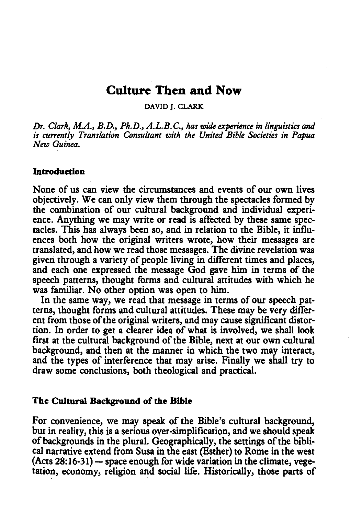# Culture Then and Now

DAVID J. CLARK

*Dr. Clark, M.A., B.D., Ph.D., A.L.B.C., has wide experience in linguistics and is currently Translation Consultant with the United Bible Societies in Papua New Guinea.* 

# Introduction

None of us can view the circumstances and events of our own lives objectively. We can only view them through the spectacles formed by the combination of our cultural background and individual experience. Anything we may write or read is affected by these same spectacles. This has always been so, and in relation to the Bible, it influences both how the original writers wrote, how their messages are translated, and how we read those messages. The divine revelation was given through a variety of people living in different times and places, and each one expressed the message God gave him in terms of the speech patterns, thought forms and cultural attitudes with which he was familiar. No other option was open to him.

In the same way, we read that message in terms of our speech patterns, thought forms and cultural attitudes. These may be very different from those of the original writers, and may cause significant distortion. In order to get a clearer idea of what is involved, we shall look first at the cultural background of the Bible, next at our own cultural background, and then at the manner in which the two may interact, and the types of interference that may arise. Finally we shall try to draw some conclusions, both theological and practical.

#### The Cultural Background of the Bible

For convenience, we may speak of the Bible's cultural background, but in reality, this is a serious over-simplification, and we should speak of backgrounds in the plural. Geographically, the settings of the biblical narrative extend from Susa in the east (Esther) to Rome in the west  $(Acts 28:16-31)$  - space enough for wide variation in the climate, vegetation, economy, religion and social life. Historically, those parts of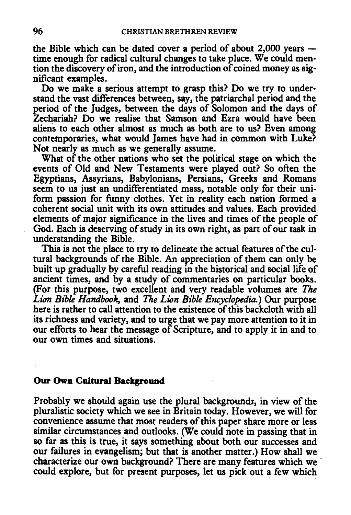the Bible which can be dated cover a period of about  $2,000$  years  $$ time enough for radical cultural changes to take place. We could mention the discovery of iron, and the introduction of coined money as significant examples.

Do we make a serious attempt to grasp this? Do we try to understand the vast differences between, say, the patriarchal period and the period of the Judges, between the days of Solomon and the days of Zechariah? Do we realise that Samson and Ezra would have been aliens to each other almost as much as both are to us? Even among contemporaries, what would James have had in common with Luke? Not nearly as much as we generally assume.

What of the other nations who set the political stage on which the events of Old and New Testaments were played out? So often the Egyptians, Assyrians, Babylonians, Persians, Greeks and Romans seem to us just an undifferentiated mass, notable only for their uniform passion for funny clothes. Yet in reality each nation formed a coherent social unit with its own attitudes and values. Each provided elements of major significance in the lives and times of the people of God. Each is deserving of study in its own right, as part of our task in understanding the Bible.

This is not the place to try to delineate the actual features of the cultural backgrounds of the Bible. An appreciation of them can only be built up gradually by careful reading in the historical and social life of ancient times, and by a study of commentaries on particular books. (For this purpose, two excellent and very readable volumes are *The Lion Bible Handbook,* and *The Lion Bible Encyc/opedia.)* Our purpose here is rather to call attention to the existence of this backcloth with all its richness and variety, and to urge that we pay more attention to it in our efforts to hear the message of Scripture, and to apply it in and to our own times and situations.

## **Our Own Cultural Background**

Probably we should again use the plural backgrounds, in view of the pluralistic society which we see in Britain today. However, we will for convenience assume that most readers of this paper share more or less similar circumstances and outlooks. (We could note in passing that in so far as this is true, it says something about both our successes and our failures in evangelism; but that is another matter.) How shall we characterize our own background? There are many features which we could explore, but for present purposes, let us pick out a few which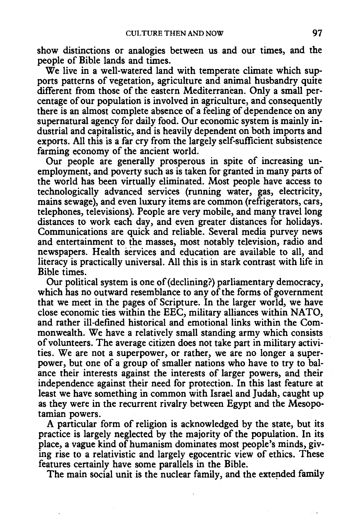show distinctions or analogies between us and our times, and the people of Bible lands and times.

We live in a well-watered land with temperate climate which supports patterns of vegetation, agriculture and animal husbandry quite different from those of the eastern Mediterranean. Only a small percentage of our population is involved in agriculture, and consequently there is an almost complete absence of a feeling of dependence on any supernatural agency for daily food. Our economic system is mainly industrial and capitalistic, and is heavily dependent on both imports and exports. All this is a far cry from the largely self-sufficient subsistence farming economy of the ancient world.

Our people are generally prosperous in spite of increasing unemployment, and poverty such as is taken for granted in many parts of the world has been virtually eliminated. Most people have access to technologically advanced services (running water, gas, electricity, mains sewage), and even luxury items are common (refrigerators, cars, telephones, televisions). People are very mobile, and many travel long distances to work each day, and even greater distances for holidays. Communications are quick and reliable. Several media purvey news and entertainment to the masses, most notably television, radio and newspapers. Health services and education are available to all, and literacy is practically universal. All this is in stark contrast with life in Bible times.

Our political system is one of (declining?) parliamentary democracy, which has no outward resemblance to any of the forms of government that we meet in the pages of Scripture. In the larger world, we have close economic ties within the EEC, military alliances within NA TO, and rather ill-defined historical and emotional links within the Commonwealth. We have a relatively small standing army which consists of volunteers. The average citizen does not take part in military activities. We are not a superpower, or rather, we are no longer a superpower, but one of a group of smaller nations who have to try to balance their interests against the interests of larger powers, and their independence against their need for protection. In this last feature at least we have something in common with Israel and Judah, caught up as they were in the recurrent rivalry between Egypt and the Mesopotamian powers.

A particular form of religion is acknowledged by the state, but its practice is largely neglected by the majority of the population. In its place, a vague kind of humanism dominates most people's minds, giving rise to a relativistic and largely egocentric view of ethics. These features certainly have some parallels in the Bible.

The main social unit is the nuclear family, and the extended family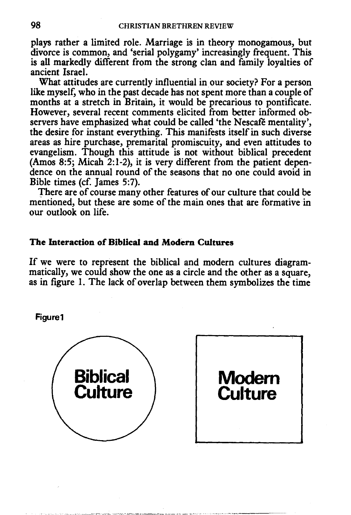plays rather a limited role. Marriage is in theory monogamous, but divorce is common, and 'serial polygamy' increasingly frequent. This is all markedly different from the strong clan and family loyalties of ancient Israel.

What attitudes are currently influential in our society? For a person like myself, who in the past decade has not spent more than a couple of months at a stretch in Britain, it would be precarious to pontificate. However, several recent comments elicited from better informed observers have emphasized what could be called 'the Nescafé mentality', the desire for instant everything. This manifests itself in such diverse areas as hire purchase, premarital promiscuity, and even attitudes to evangelism. Though this attitude is not without biblical precedent (Amos 8:5; Micah 2:1-2), it is very different from the patient dependence on the annual round of the seasons that no one could avoid in Bible times (cf. James 5:7).

There are of course many other features of our culture that could be mentioned, but these are some of the main ones that are formative in our outlook on life.

# The Interaction of Biblical and Modern Cultures

If we were to represent the biblical and modern cultures diagrammatically, we could show the one as a circle and the other as a square, as in figure I. The lack of overlap between them symbolizes the time

Figure1



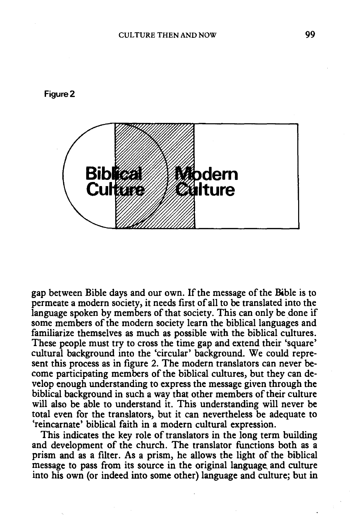



gap between Bible days and our own. If the message of the Bible is to permeate a modern society, it needs first of all to be translated into the language spoken by members of that society. This can only be done if some members of the modern society learn the biblical languages and familiarize themselves as much as possible with the biblical cultures. These people must try to cross the time gap and extend their 'square' cultural background into the 'circular' background. We could represent this process as in figure 2. The modern translators can never become participating members of the biblical cultures, but they can develop enough understanding to express the message given through the biblical background in such a way that other members of their culture will also be able to understand it. This understanding will never be total even for the translators, but it can nevertheless be adequate to 'reincarnate' biblical faith in a modern cultural expression.

This indicates the key role of translators in the long term building and development of the church. The translator functions both as a prism and as a filter. As a prism, he allows the light of the biblical message to pass from its source in the original language and culture into his own (or indeed into some other) language and culture; but in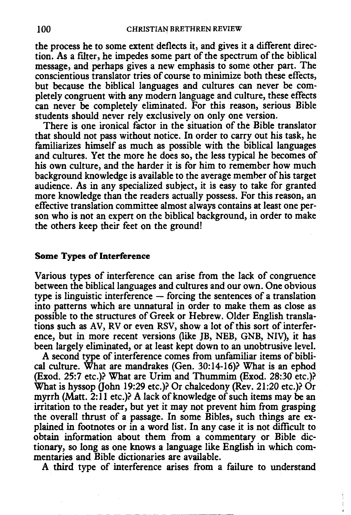the process he to some extent deflects it, and gives it a different direction. As a filter, he impedes some part of the spectrum of the biblical message, and perhaps gives a new emphasis to some other part. The conscientious translator tries of course to minimize both these effects, but because the biblical languages and cultures can never be completely congruent with any modern language and culture, these effects can never be completely eliminated. For this reason, serious Bible students should never rely exclusively on only one version.

There is one ironical factor in the situation of the Bible translator that should not pass without notice. In order to carry out his task, he familiarizes himself as much as possible with the biblical languages and cultures. Yet the more he does so, the less typical he becomes of his own culture, and the harder it is for him to remember how much background knowledge is available to the average member of his target audience. As in any specialized subject, it is easy to take for granted more knowledge than the readers actually possess. For this reason, an effective translation committee almost always contains at least one person who is not an expert on the biblical background, in order to make the others keep their feet on the ground!

### Some Types of Interference

Various types of interference can arise from the lack of congruence between the biblical languages and cultures and our own. One obvious type is linguistic interference  $-$  forcing the sentences of a translation into patterns which are unnatural in order to make them as close as possible to the structures of Greek or Hebrew. Older English translations such as AV, RV or even RSV, show a lot of this sort of interference, but in more recent versions (like JB, NEB, GNB, NIV}, it has been largely eliminated, or at least kept down to an unobtrusive level.

A second type of interference comes from unfamiliar items of biblical culture. What are mandrakes (Gen. 30:14-16)? What is an ephod (Exod. 25:7 etc.)? What are Urim and Thummim (Exod. 28:30 etc.)? What is hyssop (John 19:29 etc.)? Or chalcedony (Rev. 21:20 etc.)? Or myrrh (Matt. 2:11 etc.)? A lack of knowledge of such items may be an irritation to the reader, but yet it may not prevent him from grasping the overall thrust of a passage. In some Bibles, such things are explained in footnotes or in a word list. In any case it is not difficult to obtain information about them from a commentary or Bible dictionary, so long as one knows a language like English in which commentaries and Bible dictionaries are available.

A third type of interference arises from a failure to understand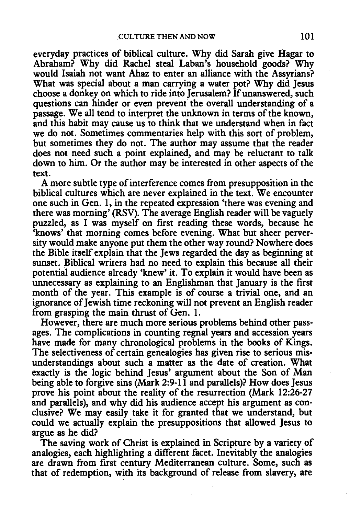everyday practices of biblical culture. Why did Sarah give Hagar to Abraham? Why did Rachel steal Laban's household goods? Why would Isaiah not want Ahaz to enter an alliance with the Assyrians? What was special about a man carrying a water pot? Why did Jesus choose a donkey on which to ride into Jerusalem? If unanswered, such questions can hinder or even prevent the overall understanding of a passage. We all tend to interpret the unknown in terms of the known, and this habit may cause us to think that we understand when in fact we do not. Sometimes commentaries help with this sort of problem, but sometimes they do not. The author may assume that the reader does not need such a point explained, and may be reluctant to talk down to him. Or the author may be interested in other aspects of the text.

A more subtle type of interference comes from presupposition in the biblical cultures which are never explained in the text. We encounter one such in Gen. 1, in the repeated expression 'there was evening and there was morning' (RSV). The average English reader will be vaguely puzzled, as I was myself on first reading these words, because he 'knows' that morning comes before evening. What but sheer perversity would make anyone put them the other way round? Nowhere does the Bible itself explain that the Jews regarded the day as beginning at sunset. Biblical writers had no need to explain this because all their potential audience already 'knew' it. To explain it would have been as unnecessary as explaining to an Englishman that January is the first month of the year. This example is of course a trivial one, and an ignorance of Jewish time reckoning will not prevent an English reader from grasping the main thrust of Gen. 1.

However, there are much more serious problems behind other passages. The complications in counting regnal years and accession years have made for many chronological problems in the books of Kings. The selectiveness of certain genealogies has given rise to serious misunderstandings about such a matter as the date of creation. What exactly is the logic behind Jesus' argument about the Son of Man being able to forgive sins (Mark 2:9-11 and parallels)? How does Jesus prove his point about the reality of the resurrection (Mark 12:26-27 and parallels), and why did his audience accept his argument as conclusive? We may easily take it for granted that we understand, but could we actually explain the presuppositions that allowed Jesus to argue as he did?

The saving work of Christ is explained in Scripture by a variety of analogies, each highlighting a different facet. Inevitably the analogies are drawn from first century Mediterranean culture. Some, such as that of redemption, with its background of release from slavery, are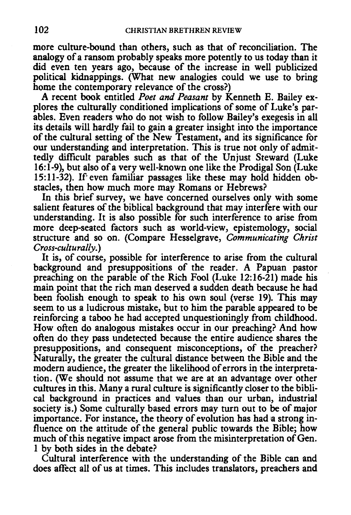more culture-bound than others, such as that of reconciliation. The analogy of a ransom probably speaks more potently to us today than it did even ten years ago, because of the increase in well publicized political kidnappings. (What new analogies could we use to bring home the contemporary relevance of the cross?)

A recent book entitled *Poet and Peasant* by Kenneth E. Bailey explores the culturally conditioned implications of some of Luke's parables. Even readers who do not wish to follow Bailey's exegesis in all its details will hardly fail to gain a greater insight into the importance of the cultural setting of the New Testament, and its significance for our understanding and interpretation. This is true not only of admittedly difficult parables such as that of the Unjust Steward (Luke 16:1-9), but also of a very well-known one like the Prodigal Son (Luke 15:11-32). If even familiar passages like these may hold hidden ob-15:11-32). If even familiar passages like these may hold hidden obstacles, then how much more may Romans or Hebrews?

In this brief survey, we have concerned ourselves only with some salient features of the biblical background that may interfere with our understanding. It is also possible for such interference to arise from more deep-seated factors such as world-view, epistemology, social structure and so on. (Compare Hesselgrave, *Communicating Christ Cross-culturally.)* 

It is, of course, possible for interference to arise from the cultural background and presuppositions of the reader. A Papuan pastor preaching on the parable of the Rich Fool (Luke 12:16-21) made his main point that the rich man deserved a sudden death because he had been foolish enough to speak to his own soul (verse 19). This may seem to us a ludicrous mistake, but to him the parable appeared to be reinforcing a taboo he had accepted unquestioningly from childhood. How often do analogous mistakes occur in our preaching? And how often do they pass undetected because the entire audience shares the presuppositions, and consequent misconceptions, of the preacher? Naturally, the greater the cultural distance between the Bible and the modern audience, the greater the likelihood of errors in the interpretation. (We should not assume that we are at an advantage over other cultures in this. Many a rural culture is significantly closer to the biblical background in practices and values than our urban, industrial society is.) Some culturally based errors may turn out to be of major importance. For instance, the theory of evolution has had ea strong influence on the attitude of the general public towards the Bible; how much of this negative impact arose from the misinterpretation of Gen. 1 by both sides in the debate?

Cultural interference with the understanding of the Bible can and does affect all of us at times. This includes translators, preachers and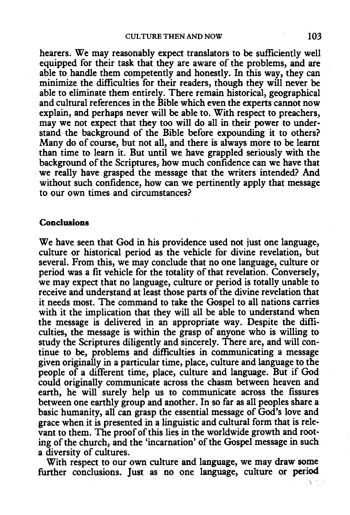hearers. We may reasonably expect translators to be sufficiently well equipped for their task that they are aware of the problems, and are able to handle them competently and honestly. In this way, they can minimize the difficulties for their readers, though they will never be able to eliminate them entirely. There remain historical, geographical and cultural references in the Bible which even the experts cannot now explain, and perhaps never will be able to. With respect to preachers, may we not expect that they too will do all in their power to understand the background of the Bible before expounding it to others? Many do of course, but not all, and there is always more to be learnt than time to learn it. But until we have grappled seriously with the background of the Scriptures, how much confidence can we have that we really have grasped the message that the writers intended? And without such confidence, how can we pertinently apply that message to our own times and circumstances?

## Conclusions

We have seen that God in his providence used not just one language, culture or historical period as the vehicle for divine revelation, but several. From this, we may conclude that no one language, culture or period was a fit vehicle for the totality of that revelation. Conversely, we may expect that no language, culture or period is totally unable to receive and understand at least those parts of the divine revelation that it needs most. The command to take the Gospel to all nations carries with it the implication that they will all be able to understand when the message is delivered in an appropriate way. Despite the difficulties, the message is within the grasp of anyone who is willing to study the Scriptures diligently and sincerely. There are, and will continue to be, problems and difficulties in communicating a message given originally in a particular time, place, culture and language to the people of a different time, place, culture and language. But if God could originally communicate across the chasm between heaven and earth, he will surely help us to communicate across the fissures between one earthly group and another. In so far as all peoples share a basic humanity, all can grasp the essential message of God's love and grace when it is presented in a linguistic and cultural form that is relevant to them. The proof of this lies in the worldwide growth and rooting of the church, and the 'incarnation' of the Gospel message in such a diversity of cultures.

With respect to our own culture and language, we may draw some further conclusions. Just as no one language, culture or period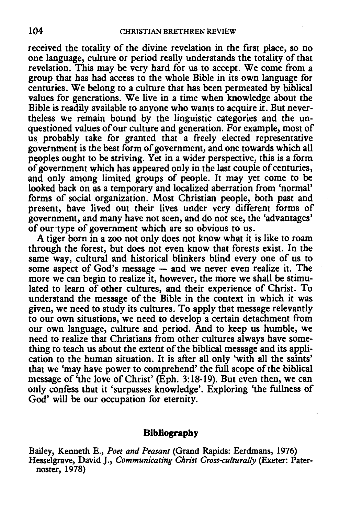received the totality of the divine revelation in the first place, so no one language, culture or period really understands the totality of that revelation. This may be very hard for us to accept. We come from a group that has had access to the whole Bible in its own language for centuries. We belong to a culture that has been permeated by biblical values for generations. We live in a time when knowledge about the Bible is readily available to anyone who wants to acquire it. But nevertheless we remain bound by the linguistic categories and the unquestioned values of our culture and generation. For example, most of us probably take for granted that a freely elected representative government is the best form of government, and one towards which all peoples ought to be striving. Yet in a wider perspective, this is a form of government which has appeared only in the last couple of centuries, and only among limited groups of people. It may yet come to be looked back on as a temporary and localized aberration from 'normal' forms of social organization. Most Christian people, both past and present, have lived out their lives under very different forms of government, and many have not seen, and do not see, the 'advantages' of our·type of government which are so obvious to us.

A tiger born in a zoo not only does not know what it is like to roam through the forest, but does not even know that forests exist. In the same way, cultural and historical blinkers blind every one of us to some aspect of God's message  $-$  and we never even realize it. The more we can begin to realize it, however, the more we shall be stimulated to learn of other cultures, and their experience of Christ. To understand the message of the Bible in the context in which it was given, we need to study its cultures. To apply that message relevantly to our own situations, we need to develop a cenain detachment from our own language, culture and period. And to keep us humble, we need to realize that Christians from other cultures always have something to teach us about the extent of the biblical message and its application to the human situation. It is after all only 'with all the saints' that we 'may have power to comprehend' the full scope of the biblical message of 'the love power to comprenent include the scope of the oronical<br>ressage of 'the love of Christ' (Eph. 3:18-10). But even then, we can icssage of the love of Christ (Eph. 3.10-17). But even then, we can<br>nly confess that it 'surpasses knowledge'. Evnloring 'the fullness of God' will be our occupation for eternity.

#### **Bibliography**

Bailey, Kenneth E., *Poet and Peasant* (Grand Rapids: Eerdmans, 1976) Hesselgrave, David J., *Communicating Christ Cross-culturally* (Exeter: Paternoster, 1978)